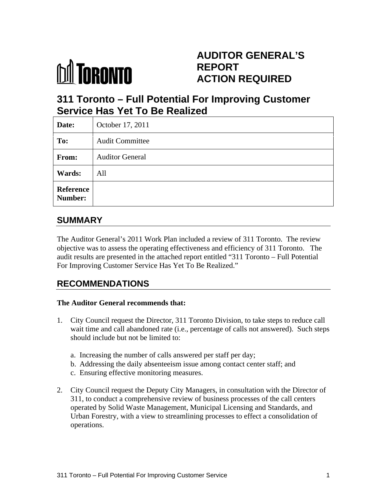

# **AUDITOR GENERAL'S REPORT ACTION REQUIRED**

# **311 Toronto – Full Potential For Improving Customer Service Has Yet To Be Realized**

| Date:                | October 17, 2011       |  |  |  |
|----------------------|------------------------|--|--|--|
| To:                  | <b>Audit Committee</b> |  |  |  |
| From:                | <b>Auditor General</b> |  |  |  |
| <b>Wards:</b>        | All                    |  |  |  |
| Reference<br>Number: |                        |  |  |  |

## **SUMMARY**

The Auditor General's 2011 Work Plan included a review of 311 Toronto. The review objective was to assess the operating effectiveness and efficiency of 311 Toronto. The audit results are presented in the attached report entitled "311 Toronto – Full Potential For Improving Customer Service Has Yet To Be Realized."

## **RECOMMENDATIONS**

#### **The Auditor General recommends that:**

- 1. City Council request the Director, 311 Toronto Division, to take steps to reduce call wait time and call abandoned rate (i.e., percentage of calls not answered). Such steps should include but not be limited to:
	- a. Increasing the number of calls answered per staff per day;
	- b. Addressing the daily absenteeism issue among contact center staff; and
	- c. Ensuring effective monitoring measures.
- 2. City Council request the Deputy City Managers, in consultation with the Director of 311, to conduct a comprehensive review of business processes of the call centers operated by Solid Waste Management, Municipal Licensing and Standards, and Urban Forestry, with a view to streamlining processes to effect a consolidation of operations.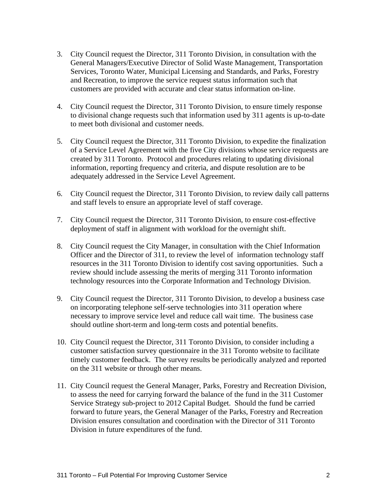- 3. City Council request the Director, 311 Toronto Division, in consultation with the General Managers/Executive Director of Solid Waste Management, Transportation Services, Toronto Water, Municipal Licensing and Standards, and Parks, Forestry and Recreation, to improve the service request status information such that customers are provided with accurate and clear status information on-line.
- 4. City Council request the Director, 311 Toronto Division, to ensure timely response to divisional change requests such that information used by 311 agents is up-to-date to meet both divisional and customer needs.
- 5. City Council request the Director, 311 Toronto Division, to expedite the finalization of a Service Level Agreement with the five City divisions whose service requests are created by 311 Toronto. Protocol and procedures relating to updating divisional information, reporting frequency and criteria, and dispute resolution are to be adequately addressed in the Service Level Agreement.
- 6. City Council request the Director, 311 Toronto Division, to review daily call patterns and staff levels to ensure an appropriate level of staff coverage.
- 7. City Council request the Director, 311 Toronto Division, to ensure cost-effective deployment of staff in alignment with workload for the overnight shift.
- 8. City Council request the City Manager, in consultation with the Chief Information Officer and the Director of 311, to review the level of information technology staff resources in the 311 Toronto Division to identify cost saving opportunities. Such a review should include assessing the merits of merging 311 Toronto information technology resources into the Corporate Information and Technology Division.
- 9. City Council request the Director, 311 Toronto Division, to develop a business case on incorporating telephone self-serve technologies into 311 operation where necessary to improve service level and reduce call wait time. The business case should outline short-term and long-term costs and potential benefits.
- 10. City Council request the Director, 311 Toronto Division, to consider including a customer satisfaction survey questionnaire in the 311 Toronto website to facilitate timely customer feedback. The survey results be periodically analyzed and reported on the 311 website or through other means.
- 11. City Council request the General Manager, Parks, Forestry and Recreation Division, to assess the need for carrying forward the balance of the fund in the 311 Customer Service Strategy sub-project to 2012 Capital Budget. Should the fund be carried forward to future years, the General Manager of the Parks, Forestry and Recreation Division ensures consultation and coordination with the Director of 311 Toronto Division in future expenditures of the fund.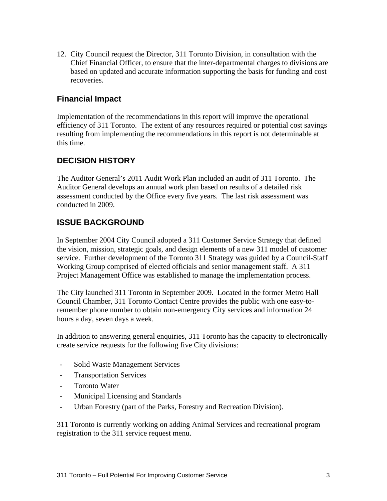12. City Council request the Director, 311 Toronto Division, in consultation with the Chief Financial Officer, to ensure that the inter-departmental charges to divisions are based on updated and accurate information supporting the basis for funding and cost recoveries.

#### **Financial Impact**

Implementation of the recommendations in this report will improve the operational efficiency of 311 Toronto. The extent of any resources required or potential cost savings resulting from implementing the recommendations in this report is not determinable at this time.

#### **DECISION HISTORY**

The Auditor General's 2011 Audit Work Plan included an audit of 311 Toronto. The Auditor General develops an annual work plan based on results of a detailed risk assessment conducted by the Office every five years. The last risk assessment was conducted in 2009.

#### **ISSUE BACKGROUND**

In September 2004 City Council adopted a 311 Customer Service Strategy that defined the vision, mission, strategic goals, and design elements of a new 311 model of customer service. Further development of the Toronto 311 Strategy was guided by a Council-Staff Working Group comprised of elected officials and senior management staff. A 311 Project Management Office was established to manage the implementation process.

The City launched 311 Toronto in September 2009. Located in the former Metro Hall Council Chamber, 311 Toronto Contact Centre provides the public with one easy-toremember phone number to obtain non-emergency City services and information 24 hours a day, seven days a week.

In addition to answering general enquiries, 311 Toronto has the capacity to electronically create service requests for the following five City divisions:

- Solid Waste Management Services
- Transportation Services
- Toronto Water
- Municipal Licensing and Standards
- Urban Forestry (part of the Parks, Forestry and Recreation Division).

311 Toronto is currently working on adding Animal Services and recreational program registration to the 311 service request menu.